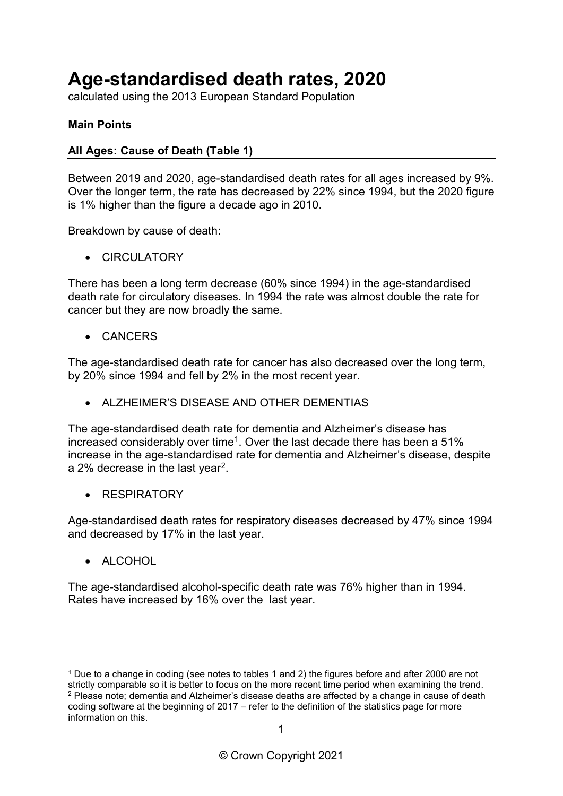# **Age-standardised death rates, 2020**

calculated using the 2013 European Standard Population

### **Main Points**

#### **All Ages: Cause of Death (Table 1)**

Between 2019 and 2020, age-standardised death rates for all ages increased by 9%. Over the longer term, the rate has decreased by 22% since 1994, but the 2020 figure is 1% higher than the figure a decade ago in 2010.

Breakdown by cause of death:

• CIRCUI ATORY

There has been a long term decrease (60% since 1994) in the age-standardised death rate for circulatory diseases. In 1994 the rate was almost double the rate for cancer but they are now broadly the same.

• CANCERS

The age-standardised death rate for cancer has also decreased over the long term, by 20% since 1994 and fell by 2% in the most recent year.

• ALZHEIMER'S DISEASE AND OTHER DEMENTIAS

The age-standardised death rate for dementia and Alzheimer's disease has increased considerably over time<sup>[1](#page-0-0)</sup>. Over the last decade there has been a  $51\%$ increase in the age-standardised rate for dementia and Alzheimer's disease, despite a 2% decrease in the last year[2](#page-0-1).

**RESPIRATORY** 

Age-standardised death rates for respiratory diseases decreased by 47% since 1994 and decreased by 17% in the last year.

• ALCOHOL

The age-standardised alcohol-specific death rate was 76% higher than in 1994. Rates have increased by 16% over the last year.

<span id="page-0-1"></span><span id="page-0-0"></span><sup>&</sup>lt;u>.</u> <sup>1</sup> Due to a change in coding (see notes to tables 1 and 2) the figures before and after 2000 are not strictly comparable so it is better to focus on the more recent time period when examining the trend.  $2$  Please note; dementia and Alzheimer's disease deaths are affected by a change in cause of death coding software at the beginning of 2017 – refer to the definition of the statistics page for more information on this.